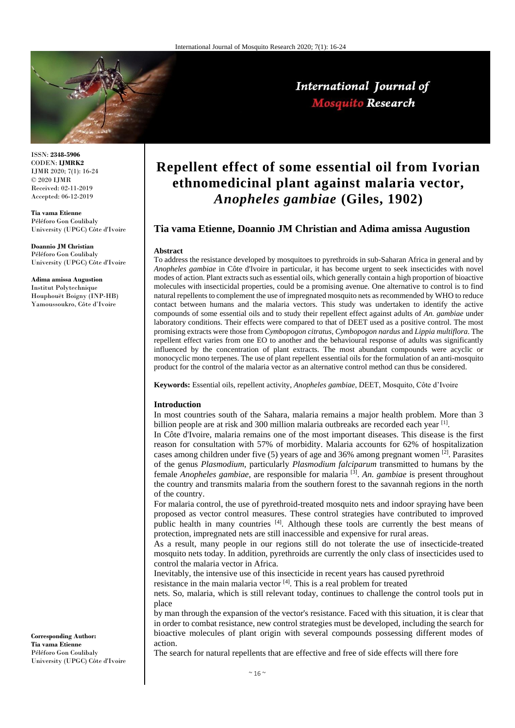

ISSN: **2348-5906** CODEN: **IJMRK2** IJMR 2020; 7(1): 16-24 © 2020 IJMR Received: 02-11-2019 Accepted: 06-12-2019

**Tia vama Etienne** Péléforo Gon Coulibaly University (UPGC) Côte d'Ivoire

**Doannio JM Christian** Péléforo Gon Coulibaly University (UPGC) Côte d'Ivoire

**Adima amissa Augustion** Institut Polytechnique Houphouët Boigny (INP-HB) Yamoussoukro, Côte d'Ivoire

**Corresponding Author: Tia vama Etienne** Péléforo Gon Coulibaly University (UPGC) Côte d'Ivoire

# **Repellent effect of some essential oil from Ivorian ethnomedicinal plant against malaria vector,**  *Anopheles gambiae* **(Giles, 1902)**

International Journal of **Mosquito Research** 

## **Tia vama Etienne, Doannio JM Christian and Adima amissa Augustion**

#### **Abstract**

To address the resistance developed by mosquitoes to pyrethroids in sub-Saharan Africa in general and by *Anopheles gambiae* in Côte d'Ivoire in particular, it has become urgent to seek insecticides with novel modes of action. Plant extracts such as essential oils, which generally contain a high proportion of bioactive molecules with insecticidal properties, could be a promising avenue. One alternative to control is to find natural repellents to complement the use of impregnated mosquito nets as recommended by WHO to reduce contact between humans and the malaria vectors. This study was undertaken to identify the active compounds of some essential oils and to study their repellent effect against adults of *An. gambiae* under laboratory conditions. Their effects were compared to that of DEET used as a positive control. The most promising extracts were those from *Cymbopogon citratus*, *Cymbopogon nardus* and *Lippia multiflora*. The repellent effect varies from one EO to another and the behavioural response of adults was significantly influenced by the concentration of plant extracts. The most abundant compounds were acyclic or monocyclic mono terpenes. The use of plant repellent essential oils for the formulation of an anti-mosquito product for the control of the malaria vector as an alternative control method can thus be considered.

**Keywords:** Essential oils, repellent activity, *Anopheles gambiae*, DEET, Mosquito, Côte d'Ivoire

#### **Introduction**

In most countries south of the Sahara, malaria remains a major health problem. More than 3 billion people are at risk and 300 million malaria outbreaks are recorded each year [1].

In Côte d'Ivoire, malaria remains one of the most important diseases. This disease is the first reason for consultation with 57% of morbidity. Malaria accounts for 62% of hospitalization cases among children under five (5) years of age and 36% among pregnant women  $\left[2\right]$ . Parasites of the genus *Plasmodium*, particularly *Plasmodium falciparum* transmitted to humans by the female *Anopheles gambiae*, are responsible for malaria [3] . *An. gambiae* is present throughout the country and transmits malaria from the southern forest to the savannah regions in the north of the country.

For malaria control, the use of pyrethroid-treated mosquito nets and indoor spraying have been proposed as vector control measures. These control strategies have contributed to improved public health in many countries [4]. Although these tools are currently the best means of protection, impregnated nets are still inaccessible and expensive for rural areas.

As a result, many people in our regions still do not tolerate the use of insecticide-treated mosquito nets today. In addition, pyrethroids are currently the only class of insecticides used to control the malaria vector in Africa.

Inevitably, the intensive use of this insecticide in recent years has caused pyrethroid

resistance in the main malaria vector [4]. This is a real problem for treated

nets. So, malaria, which is still relevant today, continues to challenge the control tools put in place

by man through the expansion of the vector's resistance. Faced with this situation, it is clear that in order to combat resistance, new control strategies must be developed, including the search for bioactive molecules of plant origin with several compounds possessing different modes of action.

The search for natural repellents that are effective and free of side effects will there fore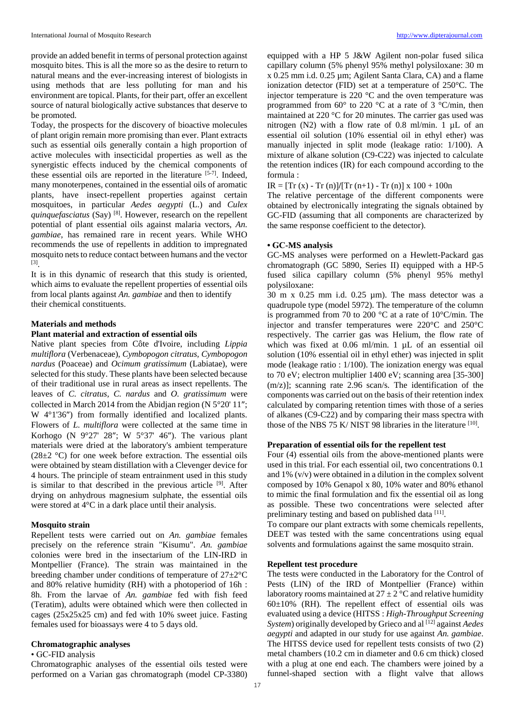provide an added benefit in terms of personal protection against mosquito bites. This is all the more so as the desire to return to natural means and the ever-increasing interest of biologists in using methods that are less polluting for man and his environment are topical. Plants, for their part, offer an excellent source of natural biologically active substances that deserve to be promoted.

Today, the prospects for the discovery of bioactive molecules of plant origin remain more promising than ever. Plant extracts such as essential oils generally contain a high proportion of active molecules with insecticidal properties as well as the synergistic effects induced by the chemical components of these essential oils are reported in the literature  $[5-7]$ . Indeed, many monoterpenes, contained in the essential oils of aromatic plants, have insect-repellent properties against certain mosquitoes, in particular *Aedes aegypti* (L.) and *Culex quinquefasciatus* (Say) [8]. However, research on the repellent potential of plant essential oils against malaria vectors, *An. gambiae*, has remained rare in recent years. While WHO recommends the use of repellents in addition to impregnated mosquito nets to reduce contact between humans and the vector [3] .

It is in this dynamic of research that this study is oriented, which aims to evaluate the repellent properties of essential oils from local plants against *An. gambiae* and then to identify their chemical constituents.

#### **Materials and methods**

#### **Plant material and extraction of essential oils**

Native plant species from Côte d'Ivoire, including *Lippia multiflora* (Verbenaceae), *Cymbopogon citratus, Cymbopogon nardus* (Poaceae) and *Ocimum gratissimum* (Labiatae), were selected for this study. These plants have been selected because of their traditional use in rural areas as insect repellents. The leaves of *C. citratus, C. nardus* and *O. gratissimum* were collected in March 2014 from the Abidjan region (N  $5^{\circ}20'$  11"; W 4°1'36") from formally identified and localized plants. Flowers of *L. multiflora* were collected at the same time in Korhogo (N  $9^{\circ}27'$  28"; W  $5^{\circ}37'$  46"). The various plant materials were dried at the laboratory's ambient temperature  $(28\pm2~\mathrm{°C})$  for one week before extraction. The essential oils were obtained by steam distillation with a Clevenger device for 4 hours. The principle of steam entrainment used in this study is similar to that described in the previous article  $[9]$ . After drying on anhydrous magnesium sulphate, the essential oils were stored at 4°C in a dark place until their analysis.

#### **Mosquito strain**

Repellent tests were carried out on *An. gambiae* females precisely on the reference strain "Kisumu". *An. gambiae*  colonies were bred in the insectarium of the LIN-IRD in Montpellier (France). The strain was maintained in the breeding chamber under conditions of temperature of 27±2°C and 80% relative humidity (RH) with a photoperiod of 16h : 8h. From the larvae of *An. gambiae* fed with fish feed (Teratim), adults were obtained which were then collected in cages (25x25x25 cm) and fed with 10% sweet juice. Fasting females used for bioassays were 4 to 5 days old.

#### **Chromatographic analyses**

#### • GC-FID analysis

Chromatographic analyses of the essential oils tested were performed on a Varian gas chromatograph (model CP-3380)

equipped with a HP 5 J&W Agilent non-polar fused silica capillary column (5% phenyl 95% methyl polysiloxane: 30 m x 0.25 mm i.d. 0.25 µm; Agilent Santa Clara, CA) and a flame ionization detector (FID) set at a temperature of 250°C. The injector temperature is 220 °C and the oven temperature was programmed from 60° to 220 °C at a rate of 3 °C/min, then maintained at 220 °C for 20 minutes. The carrier gas used was nitrogen (N2) with a flow rate of 0.8 ml/min. 1 µL of an essential oil solution (10% essential oil in ethyl ether) was manually injected in split mode (leakage ratio: 1/100). A mixture of alkane solution (C9-C22) was injected to calculate the retention indices (IR) for each compound according to the formula :

 $IR = [Tr (x) - Tr (n)]/[Tr (n+1) - Tr (n)] x 100 + 100n$ 

The relative percentage of the different components were obtained by electronically integrating the signals obtained by GC-FID (assuming that all components are characterized by the same response coefficient to the detector).

#### **• GC-MS analysis**

GC-MS analyses were performed on a Hewlett-Packard gas chromatograph (GC 5890, Series II) equipped with a HP-5 fused silica capillary column (5% phenyl 95% methyl polysiloxane:

30 m x 0.25 mm i.d. 0.25 µm). The mass detector was a quadrupole type (model 5972). The temperature of the column is programmed from 70 to 200 °C at a rate of 10°C/min. The injector and transfer temperatures were 220°C and 250°C respectively. The carrier gas was Helium, the flow rate of which was fixed at 0.06 ml/min. 1 µL of an essential oil solution (10% essential oil in ethyl ether) was injected in split mode (leakage ratio : 1/100). The ionization energy was equal to 70 eV; electron multiplier 1400 eV; scanning area [35-300 (m/z)]; scanning rate 2.96 scan/s. The identification of the components was carried out on the basis of their retention index calculated by comparing retention times with those of a series of alkanes (C9-C22) and by comparing their mass spectra with those of the NBS 75 K/ NIST 98 libraries in the literature [10].

#### **Preparation of essential oils for the repellent test**

Four (4) essential oils from the above-mentioned plants were used in this trial. For each essential oil, two concentrations 0.1 and 1% (v/v) were obtained in a dilution in the complex solvent composed by 10% Genapol x 80, 10% water and 80% ethanol to mimic the final formulation and fix the essential oil as long as possible. These two concentrations were selected after preliminary testing and based on published data [11].

To compare our plant extracts with some chemicals repellents, DEET was tested with the same concentrations using equal solvents and formulations against the same mosquito strain.

#### **Repellent test procedure**

The tests were conducted in the Laboratory for the Control of Pests (LIN) of the IRD of Montpellier (France) within laboratory rooms maintained at  $27 \pm 2$  °C and relative humidity  $60\pm10\%$  (RH). The repellent effect of essential oils was evaluated using a device (HITSS : *High-Throughput Screening System*) originally developed by Grieco and al <sup>[12]</sup> against *Aedes aegypti* and adapted in our study for use against *An. gambiae*. The HITSS device used for repellent tests consists of two (2) metal chambers (10.2 cm in diameter and 0.6 cm thick) closed with a plug at one end each. The chambers were joined by a funnel-shaped section with a flight valve that allows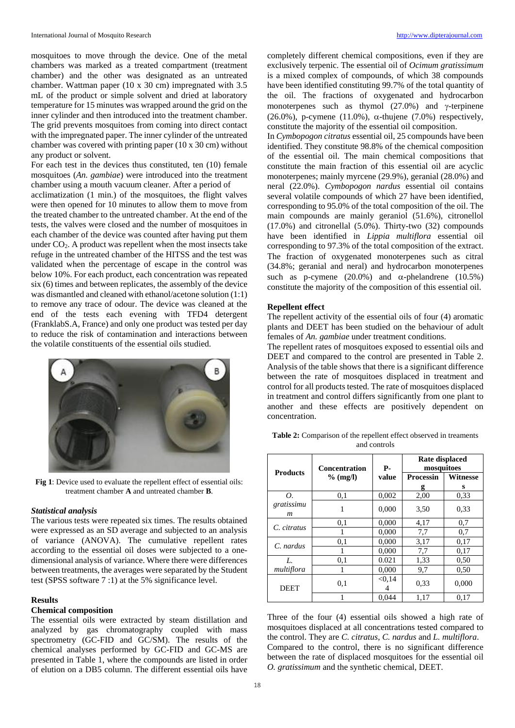mosquitoes to move through the device. One of the metal chambers was marked as a treated compartment (treatment chamber) and the other was designated as an untreated chamber. Wattman paper (10 x 30 cm) impregnated with 3.5 mL of the product or simple solvent and dried at laboratory temperature for 15 minutes was wrapped around the grid on the inner cylinder and then introduced into the treatment chamber. The grid prevents mosquitoes from coming into direct contact with the impregnated paper. The inner cylinder of the untreated chamber was covered with printing paper (10 x 30 cm) without any product or solvent.

For each test in the devices thus constituted, ten (10) female mosquitoes (*An. gambiae*) were introduced into the treatment chamber using a mouth vacuum cleaner. After a period of acclimatization (1 min.) of the mosquitoes, the flight valves were then opened for 10 minutes to allow them to move from the treated chamber to the untreated chamber. At the end of the tests, the valves were closed and the number of mosquitoes in each chamber of the device was counted after having put them under  $CO<sub>2</sub>$ . A product was repellent when the most insects take refuge in the untreated chamber of the HITSS and the test was validated when the percentage of escape in the control was below 10%. For each product, each concentration was repeated six (6) times and between replicates, the assembly of the device was dismantled and cleaned with ethanol/acetone solution (1:1) to remove any trace of odour. The device was cleaned at the end of the tests each evening with TFD4 detergent (FranklabS.A, France) and only one product was tested per day to reduce the risk of contamination and interactions between the volatile constituents of the essential oils studied.



**Fig 1**: Device used to evaluate the repellent effect of essential oils: treatment chamber **A** and untreated chamber **B**.

#### *Statistical analysis*

The various tests were repeated six times. The results obtained were expressed as an SD average and subjected to an analysis of variance (ANOVA). The cumulative repellent rates according to the essential oil doses were subjected to a onedimensional analysis of variance. Where there were differences between treatments, the averages were separated by the Student test (SPSS software 7 :1) at the 5% significance level.

### **Results**

## **Chemical composition**

The essential oils were extracted by steam distillation and analyzed by gas chromatography coupled with mass spectrometry (GC-FID and GC/SM). The results of the chemical analyses performed by GC-FID and GC-MS are presented in Table 1, where the compounds are listed in order of elution on a DB5 column. The different essential oils have

completely different chemical compositions, even if they are exclusively terpenic. The essential oil of *Ocimum gratissimum*  is a mixed complex of compounds, of which 38 compounds have been identified constituting 99.7% of the total quantity of the oil. The fractions of oxygenated and hydrocarbon monoterpenes such as thymol  $(27.0%)$  and  $\gamma$ -terpinene  $(26.0\%)$ , p-cymene  $(11.0\%)$ ,  $\alpha$ -thujene  $(7.0\%)$  respectively, constitute the majority of the essential oil composition.

In *Cymbopogon citratus* essential oil, 25 compounds have been identified. They constitute 98.8% of the chemical composition of the essential oil. The main chemical compositions that constitute the main fraction of this essential oil are acyclic monoterpenes; mainly myrcene (29.9%), geranial (28.0%) and neral (22.0%). *Cymbopogon nardus* essential oil contains several volatile compounds of which 27 have been identified, corresponding to 95.0% of the total composition of the oil. The main compounds are mainly geraniol (51.6%), citronellol (17.0%) and citronellal (5.0%). Thirty-two (32) compounds have been identified in *Lippia multiflora* essential oil corresponding to 97.3% of the total composition of the extract. The fraction of oxygenated monoterpenes such as citral (34.8%; geranial and neral) and hydrocarbon monoterpenes such as p-cymene (20.0%) and  $\alpha$ -phelandrene (10.5%) constitute the majority of the composition of this essential oil.

#### **Repellent effect**

The repellent activity of the essential oils of four (4) aromatic plants and DEET has been studied on the behaviour of adult females of *An. gambiae* under treatment conditions.

The repellent rates of mosquitoes exposed to essential oils and DEET and compared to the control are presented in Table 2. Analysis of the table shows that there is a significant difference between the rate of mosquitoes displaced in treatment and control for all products tested. The rate of mosquitoes displaced in treatment and control differs significantly from one plant to another and these effects are positively dependent on concentration.

| <b>Table 2:</b> Comparison of the repellent effect observed in treaments |
|--------------------------------------------------------------------------|
| and controls                                                             |

|                                | <b>Concentration</b><br>$%$ (mg/l) | <b>P-</b> | <b>Rate displaced</b><br>mosquitoes |          |  |
|--------------------------------|------------------------------------|-----------|-------------------------------------|----------|--|
| <b>Products</b>                |                                    | value     | <b>Processin</b>                    | Witnesse |  |
|                                |                                    |           | g                                   | s        |  |
| Ο.                             | 0,1                                | 0,002     | 2,00                                | 0.33     |  |
| gratissimu<br>$\boldsymbol{m}$ | 1                                  | 0,000     | 3,50                                | 0.33     |  |
| C. citratus                    | 0,1                                | 0.000     | 4,17                                | 0,7      |  |
|                                | 1                                  | 0,000     | 7,7                                 | 0,7      |  |
| C. nardus                      | 0,1                                | 0,000     | 3,17                                | 0,17     |  |
|                                | 1                                  | 0,000     | 7.7                                 | 0,17     |  |
| L.                             | 0,1                                | 0.021     | 1,33                                | 0.50     |  |
| multiflora                     | I                                  | 0,000     | 9,7                                 | 0.50     |  |
| <b>DEET</b>                    | 0,1                                | < 0.14    | 0.33                                | 0,000    |  |
|                                |                                    | 0.044     | 1,17                                | 0.17     |  |

Three of the four (4) essential oils showed a high rate of mosquitoes displaced at all concentrations tested compared to the control. They are *C. citratus*, *C. nardus* and *L. multiflora*. Compared to the control, there is no significant difference between the rate of displaced mosquitoes for the essential oil *O. gratissimum* and the synthetic chemical, DEET.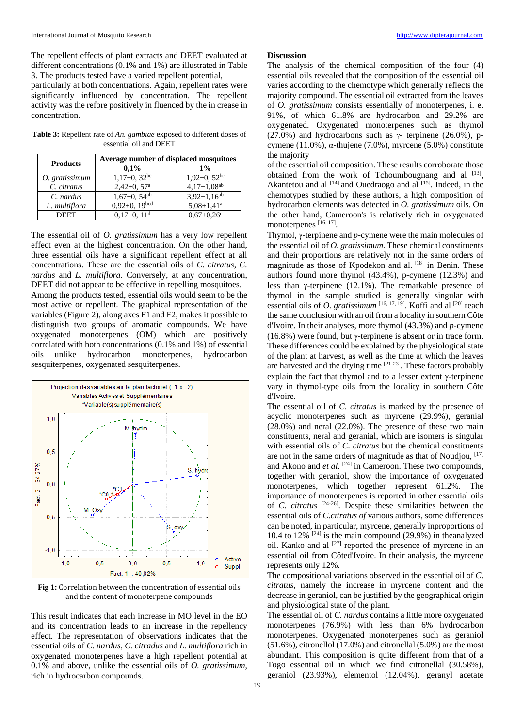The repellent effects of plant extracts and DEET evaluated at different concentrations (0.1% and 1%) are illustrated in Table 3. The products tested have a varied repellent potential,

particularly at both concentrations. Again, repellent rates were significantly influenced by concentration. The repellent activity was the refore positively in fluenced by the in crease in concentration.

**Table 3:** Repellent rate of *An. gambiae* exposed to different doses of essential oil and DEET

| <b>Products</b> | Average number of displaced mosquitoes |                              |  |  |  |
|-----------------|----------------------------------------|------------------------------|--|--|--|
|                 | $0.1\%$                                | $1\%$                        |  |  |  |
| O. gratissimum  | $1,17\pm0,32^{bc}$                     | $1,92\pm0,52^{bc}$           |  |  |  |
| C. citratus     | $2,42\pm0,57^{\rm a}$                  | $4,17 \pm 1,08^{ab}$         |  |  |  |
| C. nardus       | $1,67 \pm 0,54$ <sup>ab</sup>          | $3,92 \pm 1,16^{ab}$         |  |  |  |
| L. multiflora   | $0,92\pm 0,19^{bcd}$                   | $5.08 \pm 1.41$ <sup>a</sup> |  |  |  |
| <b>DEET</b>     | $0.17\pm0.11$ <sup>d</sup>             | $0.67 \pm 0.26$ c            |  |  |  |

The essential oil of *O. gratissimum* has a very low repellent effect even at the highest concentration. On the other hand, three essential oils have a significant repellent effect at all concentrations. These are the essential oils of *C. citratus*, *C. nardus* and *L. multiflora*. Conversely, at any concentration,

DEET did not appear to be effective in repelling mosquitoes. Among the products tested, essential oils would seem to be the most active or repellent. The graphical representation of the variables (Figure 2), along axes F1 and F2, makes it possible to distinguish two groups of aromatic compounds. We have oxygenated monoterpenes (OM) which are positively correlated with both concentrations (0.1% and 1%) of essential oils unlike hydrocarbon monoterpenes, hydrocarbon sesquiterpenes, oxygenated sesquiterpenes.



**Fig 1:** Correlation between the concentration of essential oils and the content of monoterpene compounds

This result indicates that each increase in MO level in the EO and its concentration leads to an increase in the repellency effect. The representation of observations indicates that the essential oils of *C. nardus*, *C. citradus* and *L. multiflora* rich in oxygenated monoterpenes have a high repellent potential at 0.1% and above, unlike the essential oils of *O. gratissimum*, rich in hydrocarbon compounds.

#### **Discussion**

The analysis of the chemical composition of the four (4) essential oils revealed that the composition of the essential oil varies according to the chemotype which generally reflects the majority compound. The essential oil extracted from the leaves of *O. gratissimum* consists essentially of monoterpenes, i. e. 91%, of which 61.8% are hydrocarbon and 29.2% are oxygenated. Oxygenated monoterpenes such as thymol (27.0%) and hydrocarbons such as  $\gamma$ - terpinene (26.0%), pcymene (11.0%),  $\alpha$ -thujene (7.0%), myrcene (5.0%) constitute the majority

of the essential oil composition. These results corroborate those obtained from the work of Tchoumbougnang and al  $[13]$ , Akantetou and al  $[14]$  and Ouedraogo and al  $[15]$ . Indeed, in the chemotypes studied by these authors, a high composition of hydrocarbon elements was detected in *O. gratissimum* oils. On the other hand, Cameroon's is relatively rich in oxygenated monoterpenes [16, 17].

Thymol, *y*-terpinene and *p*-cymene were the main molecules of the essential oil of *O. gratissimum*. These chemical constituents and their proportions are relatively not in the same orders of magnitude as those of Kpodekon and al. [18] in Benin. These authors found more thymol (43.4%), p-cymene (12.3%) and less than  $\gamma$ -terpinene (12.1%). The remarkable presence of thymol in the sample studied is generally singular with essential oils of *O. gratissimum*  $^{[16, 17, 19]}$ . Koffi and al  $^{[20]}$  reach the same conclusion with an oil from a locality in southern Côte d'Ivoire. In their analyses, more thymol (43.3%) and *p-*cymene (16.8%) were found, but  $\gamma$ -terpinene is absent or in trace form. These differences could be explained by the physiological state of the plant at harvest, as well as the time at which the leaves are harvested and the drying time  $[21-23]$ . These factors probably explain the fact that thymol and to a lesser extent  $\gamma$ -terpinene vary in thymol-type oils from the locality in southern Côte d'Ivoire.

The essential oil of *C. citratus* is marked by the presence of acyclic monoterpenes such as myrcene (29.9%), geranial (28.0%) and neral (22.0%). The presence of these two main constituents, neral and geranial, which are isomers is singular with essential oils of *C. citratus* but the chemical constituents are not in the same orders of magnitude as that of Noudjou, [17] and Akono and *et al.* <sup>[24]</sup> in Cameroon. These two compounds, together with geraniol, show the importance of oxygenated monoterpenes, which together represent 61.2%. The importance of monoterpenes is reported in other essential oils of *C. citratus* [24-26]. Despite these similarities between the essential oils of *C.citratus of* various authors, some differences can be noted, in particular, myrcene, generally inproportions of 10.4 to 12%  $[24]$  is the main compound (29.9%) in theanalyzed oil. Kanko and al  $[27]$  reported the presence of myrcene in an essential oil from Côted'Ivoire. In their analysis, the myrcene represents only 12%.

The compositional variations observed in the essential oil of *C. citratus,* namely the increase in myrcene content and the decrease in geraniol, can be justified by the geographical origin and physiological state of the plant.

The essential oil of *C. nardus* contains a little more oxygenated monoterpenes (76.9%) with less than 6% hydrocarbon monoterpenes. Oxygenated monoterpenes such as geraniol (51.6%), citronellol (17.0%) and citronellal (5.0%) are the most abundant. This composition is quite different from that of a Togo essential oil in which we find citronellal (30.58%), geraniol (23.93%), elementol (12.04%), geranyl acetate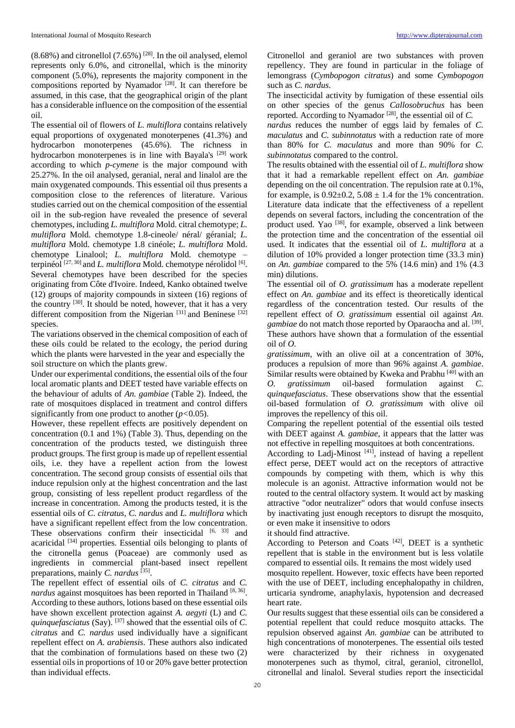$(8.68\%)$  and citronellol  $(7.65\%)$ <sup>[28]</sup>. In the oil analysed, elemol represents only 6.0%, and citronellal, which is the minority component (5.0%), represents the majority component in the compositions reported by Nyamador [28]. It can therefore be assumed, in this case, that the geographical origin of the plant has a considerable influence on the composition of the essential oil.

The essential oil of flowers of *L. multiflora* contains relatively equal proportions of oxygenated monoterpenes (41.3%) and hydrocarbon monoterpenes (45.6%). The richness in hydrocarbon monoterpenes is in line with Bayala's <sup>[29]</sup> work according to which *p-cymene* is the major compound with 25.27%. In the oil analysed, geranial, neral and linalol are the main oxygenated compounds. This essential oil thus presents a composition close to the references of literature. Various studies carried out on the chemical composition of the essential oil in the sub-region have revealed the presence of several chemotypes, including *L. multiflora* Mold. citral chemotype; *L. multiflora* Mold. chemotype 1.8-cineole/ néral/ géranial; *L. multiflora* Mold. chemotype 1.8 cinéole; *L. multiflora* Mold. chemotype Linalool; *L. multiflora* Mold. chemotype – terpinéol<sup>[27, 30]</sup> and *L. multiflora* Mold. chemotype nérolidol<sup>[6]</sup>. Several chemotypes have been described for the species originating from Côte d'Ivoire. Indeed, Kanko obtained twelve (12) groups of majority compounds in sixteen (16) regions of the country [30]. It should be noted, however, that it has a very different composition from the Nigerian  $[31]$  and Beninese  $[32]$ species.

The variations observed in the chemical composition of each of these oils could be related to the ecology, the period during which the plants were harvested in the year and especially the soil structure on which the plants grew.

Under our experimental conditions, the essential oils of the four local aromatic plants and DEET tested have variable effects on the behaviour of adults of *An. gambiae* (Table 2). Indeed, the rate of mosquitoes displaced in treatment and control differs significantly from one product to another (*p<*0.05).

However, these repellent effects are positively dependent on concentration (0.1 and 1%) (Table 3). Thus, depending on the concentration of the products tested, we distinguish three product groups. The first group is made up of repellent essential oils, i.e. they have a repellent action from the lowest concentration. The second group consists of essential oils that induce repulsion only at the highest concentration and the last group, consisting of less repellent product regardless of the increase in concentration. Among the products tested, it is the essential oils of *C. citratus*, *C. nardus* and *L. multiflora* which have a significant repellent effect from the low concentration. These observations confirm their insecticidal <sup>[6, 33]</sup> and acaricidal [34] properties. Essential oils belonging to plants of the citronella genus (Poaceae) are commonly used as ingredients in commercial plant-based insect repellent preparations, mainly *C. nardus* [35] .

The repellent effect of essential oils of *C. citratus* and *C.*  nardus against mosquitoes has been reported in Thailand [8, 36]. According to these authors, lotions based on these essential oils have shown excellent protection against *A. aegyti* (L) and *C. quinquefasciatus* (Say). <sup>[37]</sup> showed that the essential oils of *C*. *citratus* and *C. nardus* used individually have a significant repellent effect on *A. arabiensis*. These authors also indicated that the combination of formulations based on these two (2) essential oils in proportions of 10 or 20% gave better protection than individual effects.

Citronellol and geraniol are two substances with proven repellency. They are found in particular in the foliage of lemongrass (*Cymbopogon citratus*) and some *Cymbopogon*  such as *C. nardus*.

The insecticidal activity by fumigation of these essential oils on other species of the genus *Callosobruchus* has been reported. According to Nyamador [28], the essential oil of *C.*

*nardus* reduces the number of eggs laid by females of *C. maculatus* and *C. subinnotatus* with a reduction rate of more than 80% for *C. maculatus* and more than 90% for *C. subinnotatus* compared to the control.

The results obtained with the essential oil of *L. multiflora* show that it had a remarkable repellent effect on *An. gambiae*  depending on the oil concentration. The repulsion rate at 0.1%, for example, is  $0.92 \pm 0.2$ ,  $5.08 \pm 1.4$  for the 1% concentration. Literature data indicate that the effectiveness of a repellent depends on several factors, including the concentration of the product used. Yao <sup>[38]</sup>, for example, observed a link between the protection time and the concentration of the essential oil used. It indicates that the essential oil of *L. multiflora* at a dilution of 10% provided a longer protection time (33.3 min) on *An. gambiae* compared to the 5% (14.6 min) and 1% (4.3 min) dilutions.

The essential oil of *O. gratissimum* has a moderate repellent effect on *An. gambiae* and its effect is theoretically identical regardless of the concentration tested. Our results of the repellent effect of *O. gratissimum* essential oil against *An.*  gambiae do not match those reported by Oparaocha and al. <sup>[39]</sup>. These authors have shown that a formulation of the essential oil of *O.*

*gratissimum*, with an olive oil at a concentration of 30%, produces a repulsion of more than 96% against *A. gambiae*. Similar results were obtained by Kweka and Prabhu  $[40]$  with an *O. gratissimum* oil-based formulation against *C. quinquefasciatus*. These observations show that the essential oil-based formulation of *O. gratissimum* with olive oil improves the repellency of this oil.

Comparing the repellent potential of the essential oils tested with DEET against *A. gambiae*, it appears that the latter was not effective in repelling mosquitoes at both concentrations.

According to Ladj-Minost  $[41]$ , instead of having a repellent effect perse, DEET would act on the receptors of attractive compounds by competing with them, which is why this molecule is an agonist. Attractive information would not be routed to the central olfactory system. It would act by masking attractive "odor neutralizer" odors that would confuse insects by inactivating just enough receptors to disrupt the mosquito, or even make it insensitive to odors

it should find attractive.

According to Peterson and Coats<sup>[42]</sup>, DEET is a synthetic repellent that is stable in the environment but is less volatile compared to essential oils. It remains the most widely used

mosquito repellent. However, toxic effects have been reported with the use of DEET, including encephalopathy in children, urticaria syndrome, anaphylaxis, hypotension and decreased heart rate.

Our results suggest that these essential oils can be considered a potential repellent that could reduce mosquito attacks. The repulsion observed against *An. gambiae* can be attributed to high concentrations of monoterpenes. The essential oils tested were characterized by their richness in oxygenated monoterpenes such as thymol, citral, geraniol, citronellol, citronellal and linalol. Several studies report the insecticidal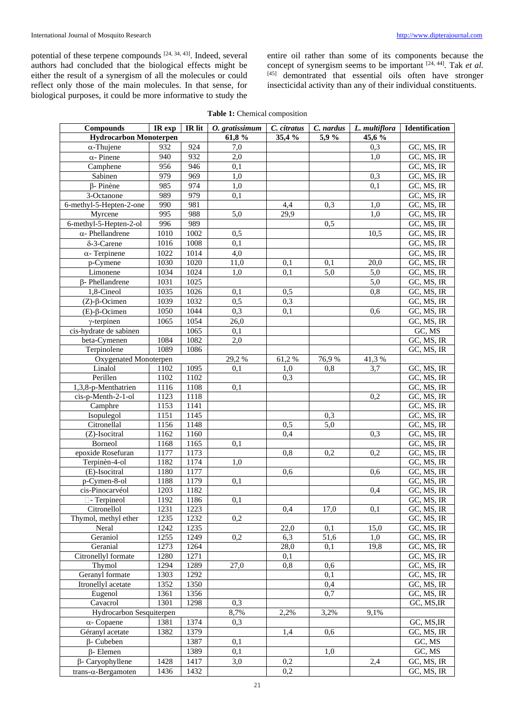potential of these terpene compounds [24, 34, 43]. Indeed, several authors had concluded that the biological effects might be either the result of a synergism of all the molecules or could reflect only those of the main molecules. In that sense, for biological purposes, it could be more informative to study the

entire oil rather than some of its components because the concept of synergism seems to be important [24, 44]. Tak *et al.* [45] demontrated that essential oils often have stronger insecticidal activity than any of their individual constituents.

| <b>Compounds</b>                      | IR exp           | IR lit       | O. gratissimum   | C. citratus | C. nardus | L. multiflora | Identification           |
|---------------------------------------|------------------|--------------|------------------|-------------|-----------|---------------|--------------------------|
| <b>Hydrocarbon Monoterpen</b>         |                  |              | 61,8%            | 35,4 %      | 5,9%      | 45,6 %        |                          |
| $\alpha$ -Thujene                     | 932              | 924          | 7,0              |             |           | 0,3           | GC, MS, IR               |
| $\alpha$ - Pinene                     | 940              | 932          | $\overline{2,0}$ |             |           | 1,0           | GC, MS, IR               |
| Camphene                              | 956              | 946          | $\overline{0,1}$ |             |           |               | GC, MS, IR               |
| Sabinen                               | $\overline{979}$ | 969          | 1,0              |             |           | 0,3           | GC, MS, IR               |
| $\beta$ - Pinène                      | 985              | 974          | 1,0              |             |           | 0,1           | GC, MS, IR               |
| 3-Octanone                            | 989              | 979          | 0,1              |             |           |               | GC, MS, IR               |
| 6-methyl-5-Hepten-2-one               | 990              | 981          |                  | 4,4         | 0,3       | 1,0           | GC, MS, IR               |
| Myrcene                               | 995              | 988          | 5,0              | 29,9        |           | 1,0           | GC, MS, IR               |
| 6-methyl-5-Hepten-2-ol                | $\overline{996}$ | 989          |                  |             | 0,5       |               | GC, MS, IR               |
| $\alpha$ - Phellandrene               | 1010             | 1002         | 0,5              |             |           | 10,5          | GC, MS, IR               |
| $\delta$ -3-Carene                    | 1016             | 1008         | 0,1              |             |           |               | GC, MS, IR               |
| $\alpha$ - Terpinene                  | 1022             | 1014         | 4,0              |             |           |               | GC, MS, IR               |
| p-Cymene                              | 1030             | 1020         | 11,0             | 0.1         | 0,1       | 20,0          | GC, MS, IR               |
| Limonene                              | 1034             | 1024         | 1,0              | 0,1         | 5,0       | 5,0           | GC, MS, IR               |
| $\beta$ - Phellandrene                | 1031             | 1025         |                  |             |           | 5,0           | GC, MS, IR               |
| 1,8-Cineol                            | 1035             | 1026         | 0,1              | 0,5         |           | 0,8           | GC, MS, IR               |
| $(Z)$ - $\beta$ -Ocimen               | 1039             | 1032         | 0,5              | 0,3         |           |               | GC, MS, IR               |
| $(E)$ - $\beta$ -Ocimen               | 1050             | 1044         | 0,3              | 0,1         |           | 0,6           | GC, MS, IR               |
| $\gamma$ -terpinen                    | 1065             | 1054         | 26,0             |             |           |               | GC, MS, IR               |
| cis-hydrate de sabinen                |                  | 1065         | $\bar{0},1$      |             |           |               | GC, MS                   |
| beta-Cymenen                          | 1084             | 1082         | $\overline{2,0}$ |             |           |               | GC, MS, IR               |
| Terpinolene                           | 1089             | 1086         |                  |             |           |               | GC, MS, IR               |
| Oxygenated Monoterpen                 |                  |              | 29,2%            | 61,2%       | 76,9%     | 41,3%         |                          |
| Linalol                               | 1102             | 1095         | 0,1              | 1,0         | 0,8       | 3,7           | GC, MS, IR               |
| Perillen                              | 1102             | 1102         |                  | 0,3         |           |               | GC, MS, IR               |
| 1,3,8-p-Menthatrien                   | 1116             | 1108         | 0,1              |             |           |               | GC, MS, IR               |
| cis-p-Menth-2-1-ol                    | 1123             | 1118         |                  |             |           | 0,2           | GC, MS, IR               |
| Camphre                               | 1153             | 1141         |                  |             |           |               | GC, MS, IR               |
| Isopulegol                            | 1151             | 1145         |                  |             | 0,3       |               | GC, MS, IR               |
| Citronellal                           | 1156             | 1148         |                  | 0,5         | 5,0       |               | GC, MS, IR               |
| (Z)-Isocitral                         | 1162             | 1160         |                  | 0,4         |           | 0,3           | GC, MS, IR               |
| Borneol                               | 1168             | 1165         | 0,1              |             |           |               | GC, MS, IR               |
| epoxide Rosefuran                     | 1177             | 1173         |                  | 0,8         | 0,2       | 0,2           | GC, MS, IR               |
| Terpinèn-4-ol                         | 1182             | 1174         | 1,0              |             |           |               | GC, MS, IR               |
| (E)-Isocitral                         | 1180             | 1177         |                  | 0,6         |           | 0.6           | GC, MS, IR               |
| $p$ -Cymen-8-ol                       | 1188             | 1179         | 0,1              |             |           |               | GC, MS, IR               |
| cis-Pinocarvéol                       | 1203             | 1182         |                  |             |           | 0,4           | GC, MS, IR               |
| □ - Terpineol                         | 1192             | 1186         | $\overline{0,1}$ |             |           |               | GC, MS, IR               |
| Citronellol                           | 1231             | 1223         |                  | 0,4         | 17,0      | 0,1           | GC, MS, IR               |
| Thymol, methyl ether                  | 1235             | 1232         | 0,2              |             |           |               | GC, MS, IR               |
| Neral                                 | 1242             | 1235         |                  | 22,0        | 0,1       | 15,0          | GC, MS, IR               |
| Geraniol                              | 1255             | 1249         | $\overline{0,2}$ | 6,3         | 51,6      | 1,0           | GC, MS, IR               |
| Geranial                              | 1273             | 1264         |                  | 28,0        | 0,1       | 19,8          | GC, MS, IR<br>GC, MS, IR |
| Citronellyl formate                   | 1280             | 1271         |                  | 0,1         |           |               |                          |
| Thymol<br>Geranyl formate             | 1294             | 1289         | 27,0             | 0,8         | 0.6       |               | GC, MS, IR               |
| Itronellyl acetate                    | 1303             | 1292         |                  |             | 0,1       |               | GC, MS, IR               |
|                                       | 1352             | 1350         |                  |             | 0,4       |               | GC, MS, IR               |
| Eugenol<br>Cavacrol                   | 1361<br>1301     | 1356<br>1298 | 0,3              |             | 0,7       |               | GC, MS, IR<br>GC, MS, IR |
| Hydrocarbon Sesquiterpen              |                  |              |                  | 2,2%        | 3,2%      | 9,1%          |                          |
|                                       | 1381             | 1374         | 8,7%<br>0,3      |             |           |               | GC, MS, IR               |
| $\alpha$ - Copaene<br>Géranyl acetate | 1382             | 1379         |                  | 1,4         | 0,6       |               | GC, MS, IR               |
|                                       |                  | 1387         | 0,1              |             |           |               | GC, MS                   |
| $\beta$ - Cubeben                     |                  |              | 0,1              |             | 1,0       |               | GC, MS                   |
| $\beta$ - Elemen                      |                  | 1389         |                  |             |           |               |                          |
| β- Caryophyllene                      | 1428             | 1417         | 3,0              | 0,2         |           | 2,4           | GC, MS, IR               |
| trans- $\alpha$ -Bergamoten           | 1436             | 1432         |                  | 0,2         |           |               | GC, MS, IR               |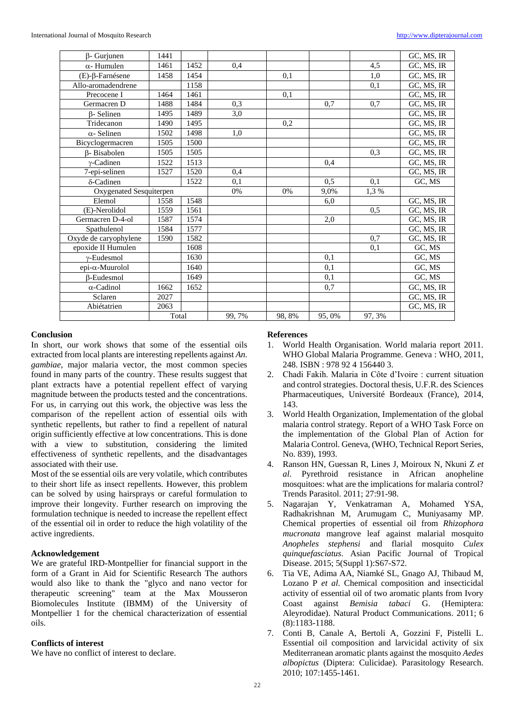| $\beta$ - Gurjunen         | 1441  |      |        |        |       |        | GC, MS, IR               |
|----------------------------|-------|------|--------|--------|-------|--------|--------------------------|
| $\alpha$ - Humulen         | 1461  | 1452 | 0,4    |        |       | 4,5    | GC, MS, IR               |
| $(E)$ - $\beta$ -Farnésene | 1458  | 1454 |        | 0,1    |       | 1,0    | GC, MS, IR               |
| Allo-aromadendrene         |       | 1158 |        |        |       | 0,1    | GC, MS, IR               |
| Precocene I                | 1464  | 1461 |        | 0,1    |       |        | $\overline{GC}$ , MS, IR |
| Germacren D                | 1488  | 1484 | 0,3    |        | 0,7   | 0,7    | GC, MS, IR               |
| <b>B-Selinen</b>           | 1495  | 1489 | 3,0    |        |       |        | GC, MS, IR               |
| Tridecanon                 | 1490  | 1495 |        | 0,2    |       |        | GC, MS, IR               |
| $\alpha$ - Selinen         | 1502  | 1498 | 1,0    |        |       |        | GC, MS, IR               |
| Bicyclogermacren           | 1505  | 1500 |        |        |       |        | GC, MS, IR               |
| <b>B</b> -Bisabolen        | 1505  | 1505 |        |        |       | 0.3    | GC, MS, IR               |
| $v$ -Cadinen               | 1522  | 1513 |        |        | 0.4   |        | GC, MS, IR               |
| 7-epi-selinen              | 1527  | 1520 | 0,4    |        |       |        | GC, MS, IR               |
| $\delta$ -Cadinen          |       | 1522 | 0,1    |        | 0.5   | 0,1    | GC, MS                   |
| Oxygenated Sesquiterpen    |       |      | 0%     | 0%     | 9,0%  | 1,3%   |                          |
| Elemol                     | 1558  | 1548 |        |        | 6,0   |        | GC, MS, IR               |
| (E)-Nerolidol              | 1559  | 1561 |        |        |       | 0,5    | GC, MS, IR               |
| Germacren D-4-ol           | 1587  | 1574 |        |        | 2,0   |        | GC, MS, IR               |
| Spathulenol                | 1584  | 1577 |        |        |       |        | GC, MS, IR               |
| Oxyde de caryophylene      | 1590  | 1582 |        |        |       | 0,7    | GC, MS, IR               |
| epoxide II Humulen         |       | 1608 |        |        |       | 0,1    | GC, MS                   |
| $\gamma$ -Eudesmol         |       | 1630 |        |        | 0,1   |        | GC, MS                   |
| $epi-\alpha$ -Muurolol     |       | 1640 |        |        | 0.1   |        | GC, MS                   |
| β-Eudesmol                 |       | 1649 |        |        | 0.1   |        | GC, MS                   |
| $\alpha$ -Cadinol          | 1662  | 1652 |        |        | 0,7   |        | GC, MS, IR               |
| Sclaren                    | 2027  |      |        |        |       |        | GC, MS, IR               |
| Abiétatrien                | 2063  |      |        |        |       |        | GC, MS, IR               |
|                            | Total |      | 99, 7% | 98, 8% | 95,0% | 97, 3% |                          |

## **Conclusion**

In short, our work shows that some of the essential oils extracted from local plants are interesting repellents against *An. gambiae*, major malaria vector, the most common species found in many parts of the country. These results suggest that plant extracts have a potential repellent effect of varying magnitude between the products tested and the concentrations. For us, in carrying out this work, the objective was less the comparison of the repellent action of essential oils with synthetic repellents, but rather to find a repellent of natural origin sufficiently effective at low concentrations. This is done with a view to substitution, considering the limited effectiveness of synthetic repellents, and the disadvantages associated with their use.

Most of the se essential oils are very volatile, which contributes to their short life as insect repellents. However, this problem can be solved by using hairsprays or careful formulation to improve their longevity. Further research on improving the formulation technique is needed to increase the repellent effect of the essential oil in order to reduce the high volatility of the active ingredients.

#### **Acknowledgement**

We are grateful IRD-Montpellier for financial support in the form of a Grant in Aid for Scientific Research The authors would also like to thank the "glyco and nano vector for therapeutic screening" team at the Max Mousseron Biomolecules Institute (IBMM) of the University of Montpellier 1 for the chemical characterization of essential oils.

## **Conflicts of interest**

We have no conflict of interest to declare.

#### **References**

- 1. World Health Organisation. World malaria report 2011. WHO Global Malaria Programme. Geneva : WHO, 2011, 248. ISBN : 978 92 4 156440 3.
- 2. Chadi Fakih. Malaria in Côte d'Ivoire : current situation and control strategies. Doctoral thesis, U.F.R. des Sciences Pharmaceutiques, Université Bordeaux (France), 2014, 143.
- 3. World Health Organization, Implementation of the global malaria control strategy. Report of a WHO Task Force on the implementation of the Global Plan of Action for Malaria Control. Geneva, (WHO, Technical Report Series, No. 839), 1993.
- 4. Ranson HN, Guessan R, Lines J, Moiroux N, Nkuni Z *et al*. Pyrethroid resistance in African anopheline mosquitoes: what are the implications for malaria control? Trends Parasitol. 2011; 27:91-98.
- 5. Nagarajan Y, Venkatraman A, Mohamed YSA, Radhakrishnan M, Arumugam C, Muniyasamy MP. Chemical properties of essential oil from *Rhizophora mucronata* mangrove leaf against malarial mosquito *Anopheles stephensi* and flarial mosquito *Culex quinquefasciatus*. Asian Pacific Journal of Tropical Disease. 2015; 5(Suppl 1):S67-S72.
- 6. Tia VE, Adima AA, Niamké SL, Gnago AJ, Thibaud M, Lozano P *et al*. Chemical composition and insecticidal activity of essential oil of two aromatic plants from Ivory Coast against *Bemisia tabaci* G. (Hemiptera: Aleyrodidae). Natural Product Communications. 2011; 6 (8):1183-1188.
- 7. Conti B, Canale A, Bertoli A, Gozzini F, Pistelli L. Essential oil composition and larvicidal activity of six Mediterranean aromatic plants against the mosquito *Aedes albopictus* (Diptera: Culicidae). Parasitology Research. 2010; 107:1455-1461.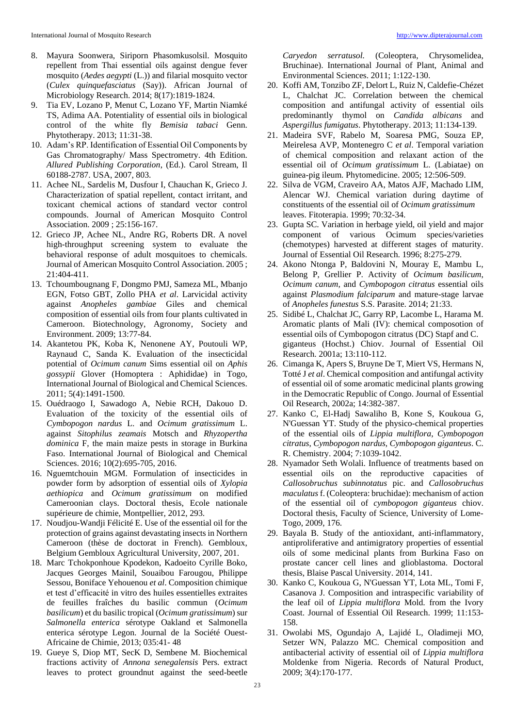- 8. Mayura Soonwera, Siriporn Phasomkusolsil. Mosquito repellent from Thai essential oils against dengue fever mosquito (*Aedes aegypti* (L.)) and filarial mosquito vector (*Culex quinquefasciatus* (Say)). African Journal of Microbiology Research. 2014; 8(17):1819-1824.
- 9. Tia EV, Lozano P, Menut C, Lozano YF, Martin Niamké TS, Adima AA. Potentiality of essential oils in biological control of the white fly *Bemisia tabaci* Genn. Phytotherapy. 2013; 11:31-38.
- 10. Adam's RP. Identification of Essential Oil Components by Gas Chromatography/ Mass Spectrometry. 4th Edition. *Allured Publishing Corporation*, (Ed.). Carol Stream, Il 60188-2787. USA, 2007, 803.
- 11. Achee NL, Sardelis M, Dusfour I, Chauchan K, Grieco J. Characterization of spatial repellent, contact irritant, and toxicant chemical actions of standard vector control compounds. Journal of American Mosquito Control Association. 2009 ; 25:156-167.
- 12. Grieco JP, Achee NL, Andre RG, Roberts DR. A novel high-throughput screening system to evaluate the behavioral response of adult mosquitoes to chemicals. Journal of American Mosquito Control Association. 2005 ; 21:404-411.
- 13. Tchoumbougnang F, Dongmo PMJ, Sameza ML, Mbanjo EGN, Fotso GBT, Zollo PHA *et al*. Larvicidal activity against *Anopheles gambiae* Giles and chemical composition of essential oils from four plants cultivated in Cameroon. Biotechnology, Agronomy, Society and Environment. 2009; 13:77-84.
- 14. Akantetou PK, Koba K, Nenonene AY, Poutouli WP, Raynaud C, Sanda K. Evaluation of the insecticidal potential of *Ocimum canum* Sims essential oil on *Aphis gossypii* Glover (Homoptera : Aphididae) in Togo, International Journal of Biological and Chemical Sciences. 2011; 5(4):1491-1500.
- 15. Ouédraogo I, Sawadogo A, Nebie RCH, Dakouo D. Evaluation of the toxicity of the essential oils of *Cymbopogon nardus* L. and *Ocimum gratissimum* L. against *Sitophilus zeamais* Motsch and *Rhyzopertha dominica* F, the main maize pests in storage in Burkina Faso. International Journal of Biological and Chemical Sciences. 2016; 10(2):695-705, 2016.
- 16. Nguemtchouin MGM. Formulation of insecticides in powder form by adsorption of essential oils of *Xylopia aethiopica* and *Ocimum gratissimum* on modified Cameroonian clays. Doctoral thesis, Ecole nationale supérieure de chimie, Montpellier, 2012, 293.
- 17. Noudjou-Wandji Félicité E. Use of the essential oil for the protection of grains against devastating insects in Northern Cameroon (thèse de doctorat in French). Gembloux, Belgium Gembloux Agricultural University, 2007, 201.
- 18. Marc Tchokponhoue Kpodekon, Kadoeito Cyrille Boko, Jacques Georges Mainil, Souaibou Farougou, Philippe Sessou, Boniface Yehouenou *et al*. Composition chimique et test d'efficacité in vitro des huiles essentielles extraites de feuilles fraîches du basilic commun (*Ocimum basilicum*) et du basilic tropical (*Ocimum gratissimum*) sur *Salmonella enterica* sérotype Oakland et Salmonella enterica sérotype Legon. Journal de la Société Ouest-Africaine de Chimie, 2013; 035:41- 48
- 19. Gueye S, Diop MT, SecK D, Sembene M. Biochemical fractions activity of *Annona senegalensis* Pers. extract leaves to protect groundnut against the seed-beetle

*Caryedon serratusol.* (Coleoptera, Chrysomelidea, Bruchinae). International Journal of Plant, Animal and Environmental Sciences. 2011; 1:122-130.

- 20. Koffi AM, Tonzibo ZF, Delort L, Ruiz N, Caldefie-Chézet L, Chalchat JC. Correlation between the chemical composition and antifungal activity of essential oils predominantly thymol on *Candida albicans* and *Aspergillus fumigatus*. Phytotherapy. 2013; 11:134-139.
- 21. Madeira SVF, Rabelo M, Soaresa PMG, Souza EP, Meirelesa AVP, Montenegro C *et al*. Temporal variation of chemical composition and relaxant action of the essential oil of *Ocimum gratissimum* L. (Labiatae) on guinea-pig ileum. Phytomedicine. 2005; 12:506-509.
- 22. Silva de VGM, Craveiro AA, Matos AJF, Machado LIM, Alencar WJ. Chemical variation during daytime of constituents of the essential oil of *Ocimum gratissimum* leaves. Fitoterapia. 1999; 70:32-34.
- 23. Gupta SC. Variation in herbage yield, oil yield and major component of various Ocimum species/varieties (chemotypes) harvested at different stages of maturity. Journal of Essential Oil Research. 1996; 8:275-279.
- 24. Akono Ntonga P, Baldovini N, Mouray E, Mambu L, Belong P, Grellier P. Activity of *Ocimum basilicum*, *Ocimum canum*, and *Cymbopogon citratus* essential oils against *Plasmodium falciparum* and mature-stage larvae of *Anopheles funestus* S.S. Parasite. 2014; 21:33.
- 25. Sidibé L, Chalchat JC, Garry RP, Lacombe L, Harama M. Aromatic plants of Mali (IV): chemical composotion of essential oils of Cymbopogon citratus (DC) Stapf and C. giganteus (Hochst.) Chiov. Journal of Essential Oil Research. 2001a; 13:110-112.
- 26. Cimanga K, Apers S, Bruyne De T, Miert VS, Hermans N, Totté J *et al*. Chemical composition and antifungal activity of essential oil of some aromatic medicinal plants growing in the Democratic Republic of Congo. Journal of Essential Oil Research, 2002a; 14:382-387.
- 27. Kanko C, El-Hadj Sawaliho B, Kone S, Koukoua G, N'Guessan YT. Study of the physico-chemical properties of the essential oils of *Lippia multiflora*, *Cymbopogon citratus*, *Cymbopogon nardus*, *Cymbopogon giganteus*. C. R. Chemistry. 2004; 7:1039-1042.
- 28. Nyamador Seth Wolali. Influence of treatments based on essential oils on the reproductive capacities of *Callosobruchus subinnotatus* pic. and *Callosobruchus maculatus* f. (Coleoptera: bruchidae): mechanism of action of the essential oil of *cymbopogon giganteus* chiov. Doctoral thesis, Faculty of Science, University of Lome-Togo, 2009, 176.
- 29. Bayala B. Study of the antioxidant, anti-inflammatory, antiproliferative and antimigratory properties of essential oils of some medicinal plants from Burkina Faso on prostate cancer cell lines and glioblastoma. Doctoral thesis, Blaise Pascal University. 2014, 141.
- 30. Kanko C, Koukoua G, N'Guessan YT, Lota ML, Tomi F, Casanova J. Composition and intraspecific variability of the leaf oil of *Lippia multiflora* Mold. from the Ivory Coast. Journal of Essential Oil Research. 1999; 11:153- 158.
- 31. Owolabi MS, Ogundajo A, Lajidé L, Oladimeji MO, Setzer WN, Palazzo MC. Chemical composition and antibacterial activity of essential oil of *Lippia multiflora*  Moldenke from Nigeria. Records of Natural Product, 2009; 3(4):170-177.